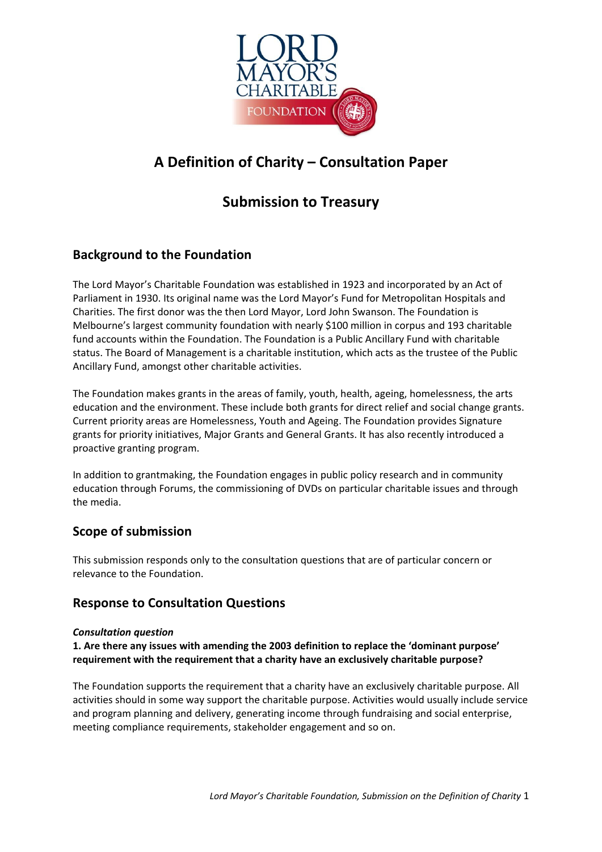

# **A Definition of Charity – Consultation Paper**

# **Submission to Treasury**

# **Background to the Foundation**

The Lord Mayor's Charitable Foundation was established in 1923 and incorporated by an Act of Parliament in 1930. Its original name was the Lord Mayor's Fund for Metropolitan Hospitals and Charities. The first donor was the then Lord Mayor, Lord John Swanson. The Foundation is Melbourne's largest community foundation with nearly \$100 million in corpus and 193 charitable fund accounts within the Foundation. The Foundation is a Public Ancillary Fund with charitable status. The Board of Management is a charitable institution, which acts as the trustee of the Public Ancillary Fund, amongst other charitable activities.

The Foundation makes grants in the areas of family, youth, health, ageing, homelessness, the arts education and the environment. These include both grants for direct relief and social change grants. Current priority areas are Homelessness, Youth and Ageing. The Foundation provides Signature grants for priority initiatives, Major Grants and General Grants. It has also recently introduced a proactive granting program.

In addition to grantmaking, the Foundation engages in public policy research and in community education through Forums, the commissioning of DVDs on particular charitable issues and through the media.

# **Scope of submission**

This submission responds only to the consultation questions that are of particular concern or relevance to the Foundation.

# **Response to Consultation Questions**

#### *Consultation question*

**1. Are there any issues with amending the 2003 definition to replace the 'dominant purpose' requirement with the requirement that a charity have an exclusively charitable purpose?** 

The Foundation supports the requirement that a charity have an exclusively charitable purpose. All activities should in some way support the charitable purpose. Activities would usually include service and program planning and delivery, generating income through fundraising and social enterprise, meeting compliance requirements, stakeholder engagement and so on.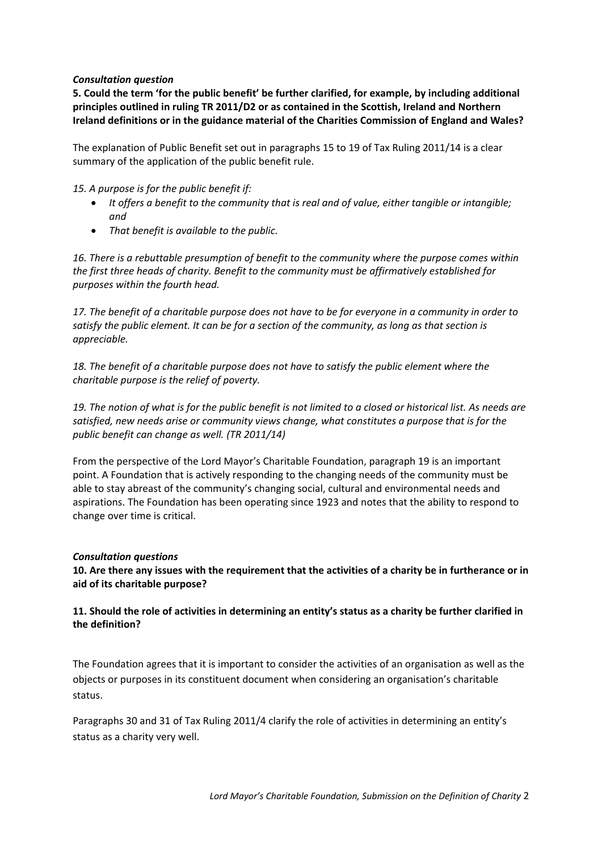#### *Consultation question*

**5. Could the term 'for the public benefit' be further clarified, for example, by including additional principles outlined in ruling TR 2011/D2 or as contained in the Scottish, Ireland and Northern Ireland definitions or in the guidance material of the Charities Commission of England and Wales?** 

The explanation of Public Benefit set out in paragraphs 15 to 19 of Tax Ruling 2011/14 is a clear summary of the application of the public benefit rule.

*15. A purpose is for the public benefit if:*

- *It offers a benefit to the community that is real and of value, either tangible or intangible; and*
- *That benefit is available to the public.*

*16. There is a rebuttable presumption of benefit to the community where the purpose comes within the first three heads of charity. Benefit to the community must be affirmatively established for purposes within the fourth head.*

*17. The benefit of a charitable purpose does not have to be for everyone in a community in order to satisfy the public element. It can be for a section of the community, as long as that section is appreciable.*

*18. The benefit of a charitable purpose does not have to satisfy the public element where the charitable purpose is the relief of poverty.*

*19. The notion of what is for the public benefit is not limited to a closed or historical list. As needs are satisfied, new needs arise or community views change, what constitutes a purpose that is for the public benefit can change as well. (TR 2011/14)*

From the perspective of the Lord Mayor's Charitable Foundation, paragraph 19 is an important point. A Foundation that is actively responding to the changing needs of the community must be able to stay abreast of the community's changing social, cultural and environmental needs and aspirations. The Foundation has been operating since 1923 and notes that the ability to respond to change over time is critical.

#### *Consultation questions*

**10. Are there any issues with the requirement that the activities of a charity be in furtherance or in aid of its charitable purpose?** 

### **11. Should the role of activities in determining an entity's status as a charity be further clarified in the definition?**

The Foundation agrees that it is important to consider the activities of an organisation as well as the objects or purposes in its constituent document when considering an organisation's charitable status.

Paragraphs 30 and 31 of Tax Ruling 2011/4 clarify the role of activities in determining an entity's status as a charity very well.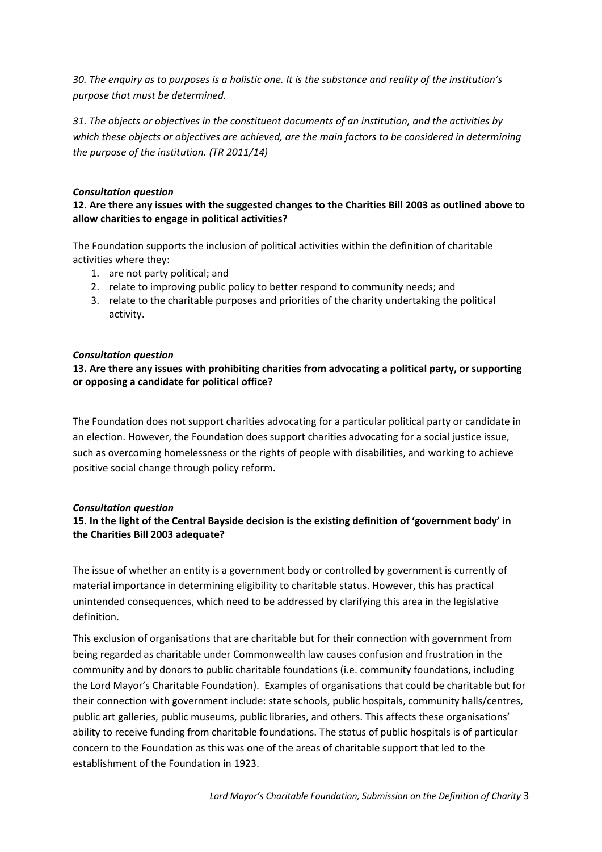*30. The enquiry as to purposes is a holistic one. It is the substance and reality of the institution's purpose that must be determined.*

*31. The objects or objectives in the constituent documents of an institution, and the activities by which these objects or objectives are achieved, are the main factors to be considered in determining the purpose of the institution. (TR 2011/14)*

#### *Consultation question*

# **12. Are there any issues with the suggested changes to the Charities Bill 2003 as outlined above to allow charities to engage in political activities?**

The Foundation supports the inclusion of political activities within the definition of charitable activities where they:

- 1. are not party political; and
- 2. relate to improving public policy to better respond to community needs; and
- 3. relate to the charitable purposes and priorities of the charity undertaking the political activity.

#### *Consultation question*

# **13. Are there any issues with prohibiting charities from advocating a political party, or supporting or opposing a candidate for political office?**

The Foundation does not support charities advocating for a particular political party or candidate in an election. However, the Foundation does support charities advocating for a social justice issue, such as overcoming homelessness or the rights of people with disabilities, and working to achieve positive social change through policy reform.

#### *Consultation question*

# **15. In the light of the Central Bayside decision is the existing definition of 'government body' in the Charities Bill 2003 adequate?**

The issue of whether an entity is a government body or controlled by government is currently of material importance in determining eligibility to charitable status. However, this has practical unintended consequences, which need to be addressed by clarifying this area in the legislative definition.

This exclusion of organisations that are charitable but for their connection with government from being regarded as charitable under Commonwealth law causes confusion and frustration in the community and by donors to public charitable foundations (i.e. community foundations, including the Lord Mayor's Charitable Foundation). Examples of organisations that could be charitable but for their connection with government include: state schools, public hospitals, community halls/centres, public art galleries, public museums, public libraries, and others. This affects these organisations' ability to receive funding from charitable foundations. The status of public hospitals is of particular concern to the Foundation as this was one of the areas of charitable support that led to the establishment of the Foundation in 1923.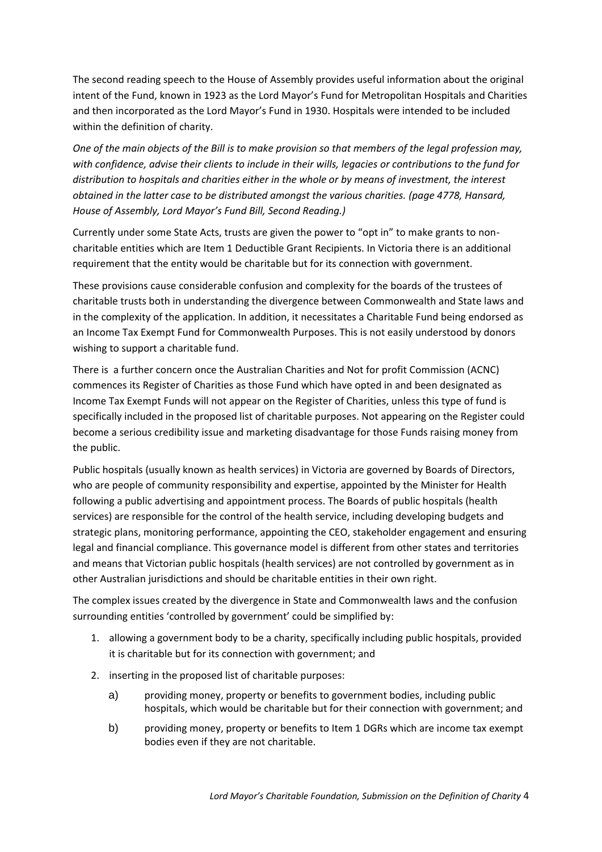The second reading speech to the House of Assembly provides useful information about the original intent of the Fund, known in 1923 as the Lord Mayor's Fund for Metropolitan Hospitals and Charities and then incorporated as the Lord Mayor's Fund in 1930. Hospitals were intended to be included within the definition of charity.

*One of the main objects of the Bill is to make provision so that members of the legal profession may, with confidence, advise their clients to include in their wills, legacies or contributions to the fund for distribution to hospitals and charities either in the whole or by means of investment, the interest obtained in the latter case to be distributed amongst the various charities. (page 4778, Hansard, House of Assembly, Lord Mayor's Fund Bill, Second Reading.)*

Currently under some State Acts, trusts are given the power to "opt in" to make grants to noncharitable entities which are Item 1 Deductible Grant Recipients. In Victoria there is an additional requirement that the entity would be charitable but for its connection with government.

These provisions cause considerable confusion and complexity for the boards of the trustees of charitable trusts both in understanding the divergence between Commonwealth and State laws and in the complexity of the application. In addition, it necessitates a Charitable Fund being endorsed as an Income Tax Exempt Fund for Commonwealth Purposes. This is not easily understood by donors wishing to support a charitable fund.

There is a further concern once the Australian Charities and Not for profit Commission (ACNC) commences its Register of Charities as those Fund which have opted in and been designated as Income Tax Exempt Funds will not appear on the Register of Charities, unless this type of fund is specifically included in the proposed list of charitable purposes. Not appearing on the Register could become a serious credibility issue and marketing disadvantage for those Funds raising money from the public.

Public hospitals (usually known as health services) in Victoria are governed by Boards of Directors, who are people of community responsibility and expertise, appointed by the Minister for Health following a public advertising and appointment process. The Boards of public hospitals (health services) are responsible for the control of the health service, including developing budgets and strategic plans, monitoring performance, appointing the CEO, stakeholder engagement and ensuring legal and financial compliance. This governance model is different from other states and territories and means that Victorian public hospitals (health services) are not controlled by government as in other Australian jurisdictions and should be charitable entities in their own right.

The complex issues created by the divergence in State and Commonwealth laws and the confusion surrounding entities 'controlled by government' could be simplified by:

- 1. allowing a government body to be a charity, specifically including public hospitals, provided it is charitable but for its connection with government; and
- 2. inserting in the proposed list of charitable purposes:
	- a) providing money, property or benefits to government bodies, including public hospitals, which would be charitable but for their connection with government; and
	- b) providing money, property or benefits to Item 1 DGRs which are income tax exempt bodies even if they are not charitable.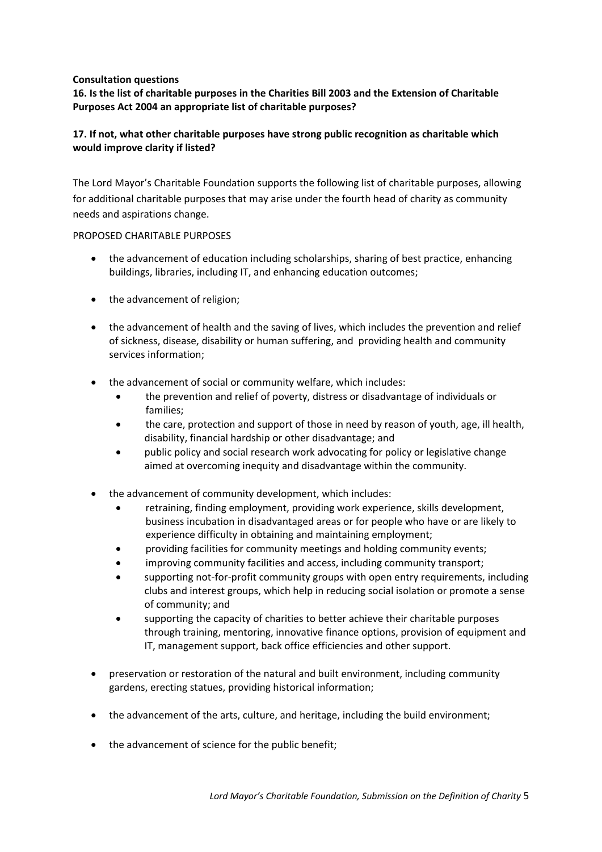#### **Consultation questions**

# **16. Is the list of charitable purposes in the Charities Bill 2003 and the Extension of Charitable Purposes Act 2004 an appropriate list of charitable purposes?**

# **17. If not, what other charitable purposes have strong public recognition as charitable which would improve clarity if listed?**

The Lord Mayor's Charitable Foundation supports the following list of charitable purposes, allowing for additional charitable purposes that may arise under the fourth head of charity as community needs and aspirations change.

#### PROPOSED CHARITABLE PURPOSES

- the advancement of education including scholarships, sharing of best practice, enhancing buildings, libraries, including IT, and enhancing education outcomes;
- the advancement of religion;
- the advancement of health and the saving of lives, which includes the prevention and relief of sickness, disease, disability or human suffering, and providing health and community services information;
- the advancement of social or community welfare, which includes:
	- the prevention and relief of poverty, distress or disadvantage of individuals or families;
	- the care, protection and support of those in need by reason of youth, age, ill health, disability, financial hardship or other disadvantage; and
	- public policy and social research work advocating for policy or legislative change aimed at overcoming inequity and disadvantage within the community.
- the advancement of community development, which includes:
	- retraining, finding employment, providing work experience, skills development, business incubation in disadvantaged areas or for people who have or are likely to experience difficulty in obtaining and maintaining employment;
	- providing facilities for community meetings and holding community events;
	- improving community facilities and access, including community transport;
	- supporting not-for-profit community groups with open entry requirements, including clubs and interest groups, which help in reducing social isolation or promote a sense of community; and
	- supporting the capacity of charities to better achieve their charitable purposes through training, mentoring, innovative finance options, provision of equipment and IT, management support, back office efficiencies and other support.
- preservation or restoration of the natural and built environment, including community gardens, erecting statues, providing historical information;
- the advancement of the arts, culture, and heritage, including the build environment;
- the advancement of science for the public benefit;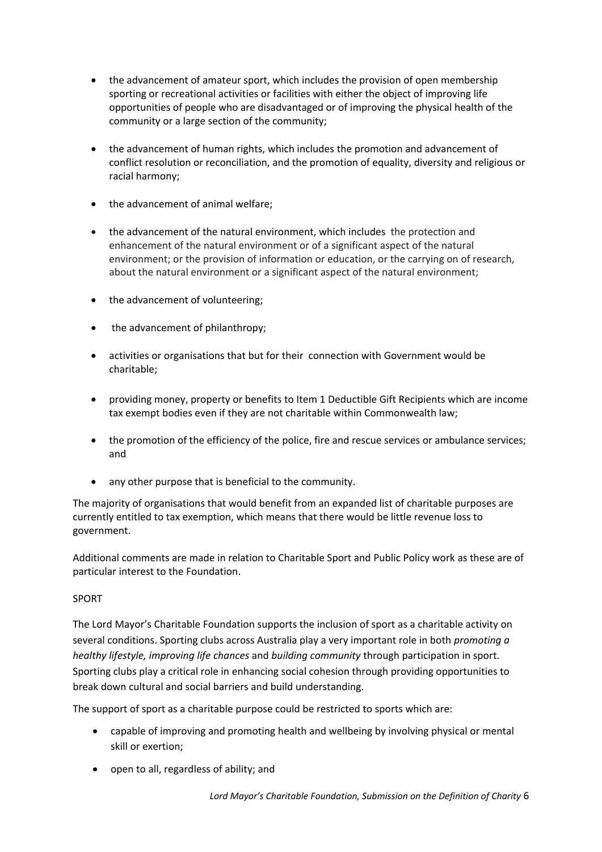- the advancement of amateur sport, which includes the provision of open membership sporting or recreational activities or facilities with either the object of improving life opportunities of people who are disadvantaged or of improving the physical health of the community or a large section of the community;
- the advancement of human rights, which includes the promotion and advancement of conflict resolution or reconciliation, and the promotion of equality, diversity and religious or racial harmony;
- the advancement of animal welfare;
- the advancement of the natural environment, which includes the protection and enhancement of the natural environment or of a significant aspect of the natural environment; or the provision of information or education, or the carrying on of research, about the natural environment or a significant aspect of the natural environment;
- the advancement of volunteering;
- the advancement of philanthropy;
- activities or organisations that but for their connection with Government would be charitable;
- providing money, property or benefits to Item 1 Deductible Gift Recipients which are income tax exempt bodies even if they are not charitable within Commonwealth law;
- the promotion of the efficiency of the police, fire and rescue services or ambulance services; and
- any other purpose that is beneficial to the community.

The majority of organisations that would benefit from an expanded list of charitable purposes are currently entitled to tax exemption, which means that there would be little revenue loss to government.

Additional comments are made in relation to Charitable Sport and Public Policy work as these are of particular interest to the Foundation.

#### SPORT

The Lord Mayor's Charitable Foundation supports the inclusion of sport as a charitable activity on several conditions. Sporting clubs across Australia play a very important role in both *promoting a healthy lifestyle, improving life chances* and *building community* through participation in sport. Sporting clubs play a critical role in enhancing social cohesion through providing opportunities to break down cultural and social barriers and build understanding.

The support of sport as a charitable purpose could be restricted to sports which are:

- capable of improving and promoting health and wellbeing by involving physical or mental skill or exertion;
- open to all, regardless of ability; and